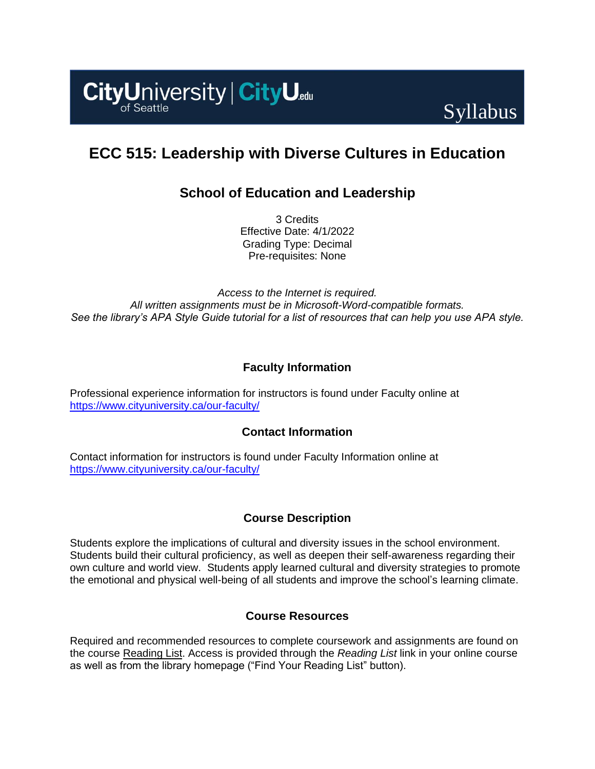



# **ECC 515: Leadership with Diverse Cultures in Education**

# **School of Education and Leadership**

3 Credits Effective Date: 4/1/2022 Grading Type: Decimal Pre-requisites: None

*Access to the Internet is required. All written assignments must be in Microsoft-Word-compatible formats. See the library's APA Style Guide tutorial for a list of resources that can help you use APA style.*

# **Faculty Information**

Professional experience information for instructors is found under Faculty online at <https://www.cityuniversity.ca/our-faculty/>

# **Contact Information**

Contact information for instructors is found under Faculty Information online at <https://www.cityuniversity.ca/our-faculty/>

# **Course Description**

Students explore the implications of cultural and diversity issues in the school environment. Students build their cultural proficiency, as well as deepen their self-awareness regarding their own culture and world view. Students apply learned cultural and diversity strategies to promote the emotional and physical well-being of all students and improve the school's learning climate.

## **Course Resources**

Required and recommended resources to complete coursework and assignments are found on the course [Reading List.](https://cityu.alma.exlibrisgroup.com/leganto/login?auth=SAML) Access is provided through the *Reading List* link in your online course as well as from the library homepage ("Find Your Reading List" button).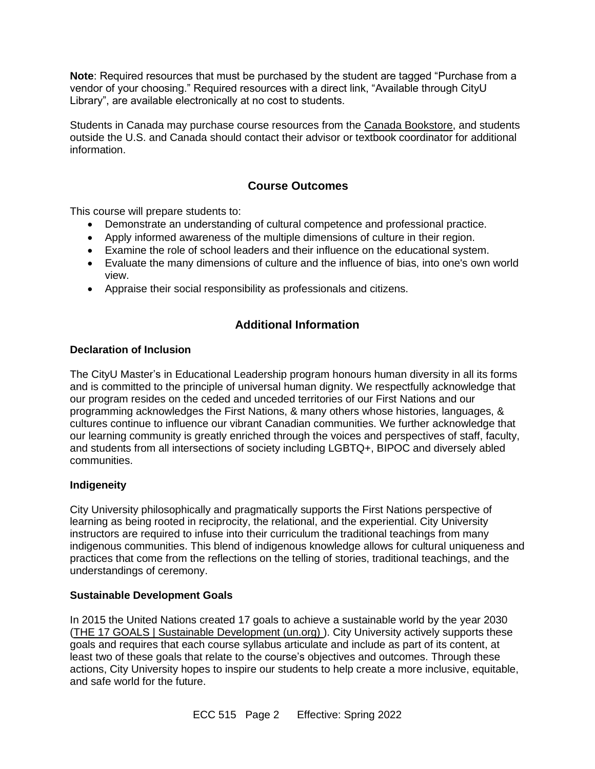**Note**: Required resources that must be purchased by the student are tagged "Purchase from a vendor of your choosing." Required resources with a direct link, "Available through CityU Library", are available electronically at no cost to students.

Students in Canada may purchase course resources from the [Canada Bookstore,](https://www.cityubookstore.ca/index.asp) and students outside the U.S. and Canada should contact their advisor or textbook coordinator for additional information.

# **Course Outcomes**

This course will prepare students to:

- Demonstrate an understanding of cultural competence and professional practice.
- Apply informed awareness of the multiple dimensions of culture in their region.
- Examine the role of school leaders and their influence on the educational system.
- Evaluate the many dimensions of culture and the influence of bias, into one's own world view.
- Appraise their social responsibility as professionals and citizens.

# **Additional Information**

## **Declaration of Inclusion**

The CityU Master's in Educational Leadership program honours human diversity in all its forms and is committed to the principle of universal human dignity. We respectfully acknowledge that our program resides on the ceded and unceded territories of our First Nations and our programming acknowledges the First Nations, & many others whose histories, languages, & cultures continue to influence our vibrant Canadian communities. We further acknowledge that our learning community is greatly enriched through the voices and perspectives of staff, faculty, and students from all intersections of society including LGBTQ+, BIPOC and diversely abled communities.

## **Indigeneity**

City University philosophically and pragmatically supports the First Nations perspective of learning as being rooted in reciprocity, the relational, and the experiential. City University instructors are required to infuse into their curriculum the traditional teachings from many indigenous communities. This blend of indigenous knowledge allows for cultural uniqueness and practices that come from the reflections on the telling of stories, traditional teachings, and the understandings of ceremony.

## **Sustainable Development Goals**

In 2015 the United Nations created 17 goals to achieve a sustainable world by the year 2030 [\(THE 17 GOALS | Sustainable Development \(un.org\)](https://sdgs.un.org/goals) ). City University actively supports these goals and requires that each course syllabus articulate and include as part of its content, at least two of these goals that relate to the course's objectives and outcomes. Through these actions, City University hopes to inspire our students to help create a more inclusive, equitable, and safe world for the future.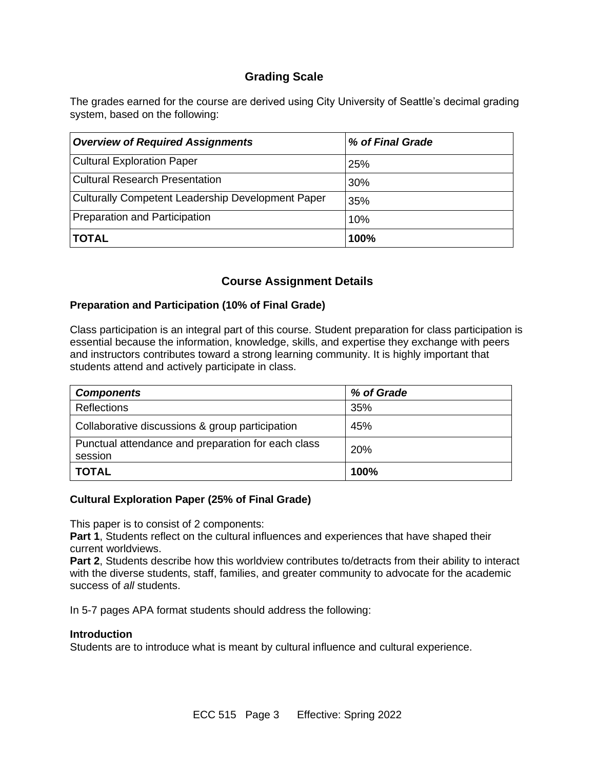# **Grading Scale**

The grades earned for the course are derived using City University of Seattle's decimal grading system, based on the following:

| <b>Overview of Required Assignments</b>                  | % of Final Grade |
|----------------------------------------------------------|------------------|
| <b>Cultural Exploration Paper</b>                        | 25%              |
| <b>Cultural Research Presentation</b>                    | 30%              |
| <b>Culturally Competent Leadership Development Paper</b> | 35%              |
| Preparation and Participation                            | 10%              |
| TOTAL                                                    | 100%             |

# **Course Assignment Details**

# **Preparation and Participation (10% of Final Grade)**

Class participation is an integral part of this course. Student preparation for class participation is essential because the information, knowledge, skills, and expertise they exchange with peers and instructors contributes toward a strong learning community. It is highly important that students attend and actively participate in class.

| <b>Components</b>                                             | % of Grade |
|---------------------------------------------------------------|------------|
| <b>Reflections</b>                                            | 35%        |
| Collaborative discussions & group participation               | 45%        |
| Punctual attendance and preparation for each class<br>session | 20%        |
| <b>TOTAL</b>                                                  | 100%       |

## **Cultural Exploration Paper (25% of Final Grade)**

This paper is to consist of 2 components:

**Part 1**, Students reflect on the cultural influences and experiences that have shaped their current worldviews.

**Part 2.** Students describe how this worldview contributes to/detracts from their ability to interact with the diverse students, staff, families, and greater community to advocate for the academic success of *all* students.

In 5-7 pages APA format students should address the following:

#### **Introduction**

Students are to introduce what is meant by cultural influence and cultural experience.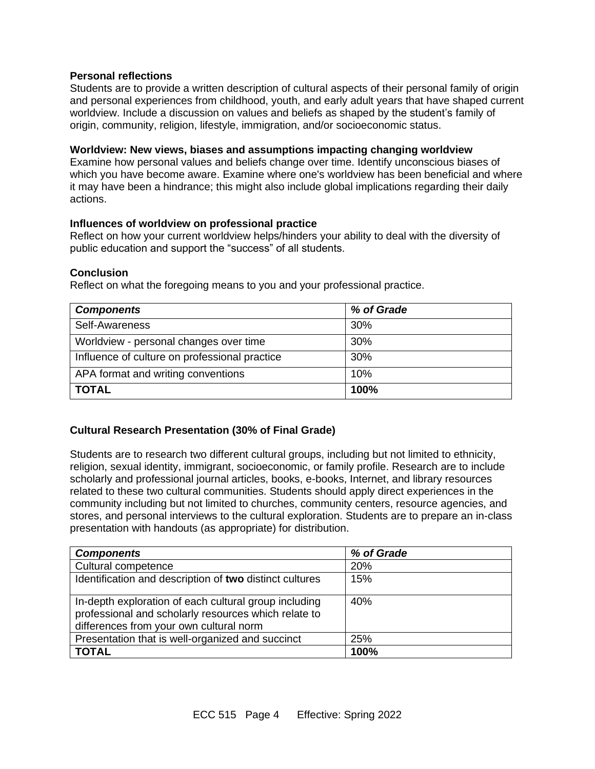## **Personal reflections**

Students are to provide a written description of cultural aspects of their personal family of origin and personal experiences from childhood, youth, and early adult years that have shaped current worldview. Include a discussion on values and beliefs as shaped by the student's family of origin, community, religion, lifestyle, immigration, and/or socioeconomic status.

#### **Worldview: New views, biases and assumptions impacting changing worldview**

Examine how personal values and beliefs change over time. Identify unconscious biases of which you have become aware. Examine where one's worldview has been beneficial and where it may have been a hindrance; this might also include global implications regarding their daily actions.

#### **Influences of worldview on professional practice**

Reflect on how your current worldview helps/hinders your ability to deal with the diversity of public education and support the "success" of all students.

## **Conclusion**

Reflect on what the foregoing means to you and your professional practice.

| <b>Components</b>                             | % of Grade |
|-----------------------------------------------|------------|
| Self-Awareness                                | 30%        |
| Worldview - personal changes over time        | 30%        |
| Influence of culture on professional practice | 30%        |
| APA format and writing conventions            | 10%        |
| <b>TOTAL</b>                                  | 100%       |

## **Cultural Research Presentation (30% of Final Grade)**

Students are to research two different cultural groups, including but not limited to ethnicity, religion, sexual identity, immigrant, socioeconomic, or family profile. Research are to include scholarly and professional journal articles, books, e-books, Internet, and library resources related to these two cultural communities. Students should apply direct experiences in the community including but not limited to churches, community centers, resource agencies, and stores, and personal interviews to the cultural exploration. Students are to prepare an in-class presentation with handouts (as appropriate) for distribution.

| <b>Components</b>                                                                                                                                        | % of Grade |
|----------------------------------------------------------------------------------------------------------------------------------------------------------|------------|
| Cultural competence                                                                                                                                      | 20%        |
| Identification and description of two distinct cultures                                                                                                  | 15%        |
| In-depth exploration of each cultural group including<br>professional and scholarly resources which relate to<br>differences from your own cultural norm | 40%        |
| Presentation that is well-organized and succinct                                                                                                         | 25%        |
| <b>TOTAL</b>                                                                                                                                             | 100%       |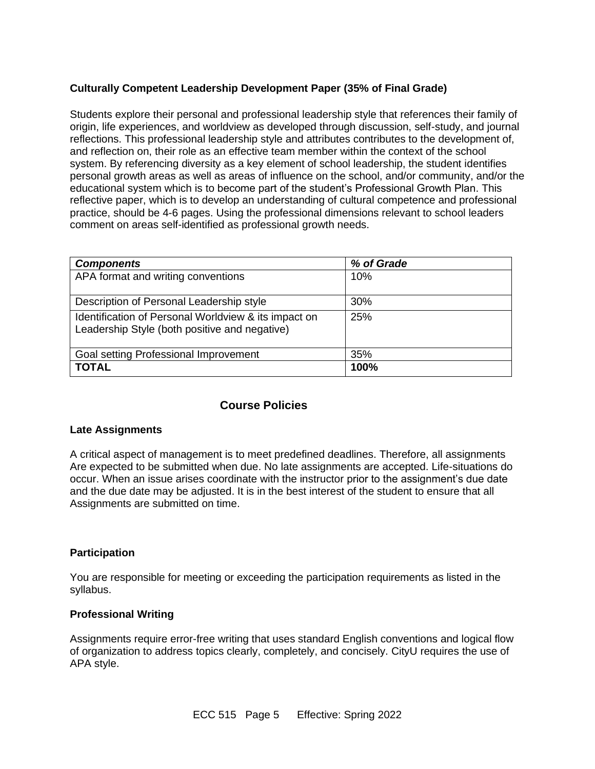# **Culturally Competent Leadership Development Paper (35% of Final Grade)**

Students explore their personal and professional leadership style that references their family of origin, life experiences, and worldview as developed through discussion, self-study, and journal reflections. This professional leadership style and attributes contributes to the development of, and reflection on, their role as an effective team member within the context of the school system. By referencing diversity as a key element of school leadership, the student identifies personal growth areas as well as areas of influence on the school, and/or community, and/or the educational system which is to become part of the student's Professional Growth Plan. This reflective paper, which is to develop an understanding of cultural competence and professional practice, should be 4-6 pages. Using the professional dimensions relevant to school leaders comment on areas self-identified as professional growth needs.

| <b>Components</b>                                                                                     | % of Grade |
|-------------------------------------------------------------------------------------------------------|------------|
| APA format and writing conventions                                                                    | 10%        |
| Description of Personal Leadership style                                                              | 30%        |
| Identification of Personal Worldview & its impact on<br>Leadership Style (both positive and negative) | 25%        |
| Goal setting Professional Improvement                                                                 | 35%        |
| <b>TOTAL</b>                                                                                          | 100%       |

# **Course Policies**

#### **Late Assignments**

A critical aspect of management is to meet predefined deadlines. Therefore, all assignments Are expected to be submitted when due. No late assignments are accepted. Life-situations do occur. When an issue arises coordinate with the instructor prior to the assignment's due date and the due date may be adjusted. It is in the best interest of the student to ensure that all Assignments are submitted on time.

## **Participation**

You are responsible for meeting or exceeding the participation requirements as listed in the syllabus.

#### **Professional Writing**

Assignments require error-free writing that uses standard English conventions and logical flow of organization to address topics clearly, completely, and concisely. CityU requires the use of APA style.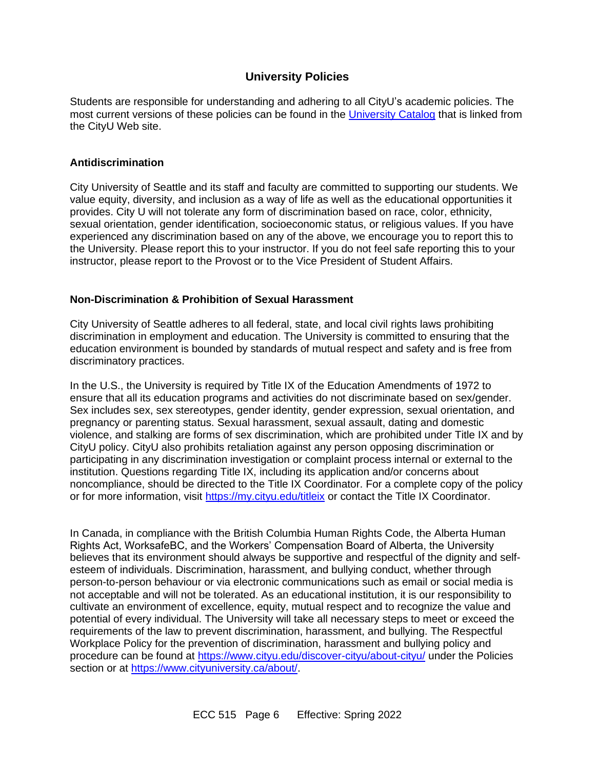# **University Policies**

Students are responsible for understanding and adhering to all CityU's academic policies. The most current versions of these policies can be found in the [University Catalog](http://www.cityu.edu/catalog/) that is linked from the CityU Web site.

## **Antidiscrimination**

City University of Seattle and its staff and faculty are committed to supporting our students. We value equity, diversity, and inclusion as a way of life as well as the educational opportunities it provides. City U will not tolerate any form of discrimination based on race, color, ethnicity, sexual orientation, gender identification, socioeconomic status, or religious values. If you have experienced any discrimination based on any of the above, we encourage you to report this to the University. Please report this to your instructor. If you do not feel safe reporting this to your instructor, please report to the Provost or to the Vice President of Student Affairs.

## **Non-Discrimination & Prohibition of Sexual Harassment**

City University of Seattle adheres to all federal, state, and local civil rights laws prohibiting discrimination in employment and education. The University is committed to ensuring that the education environment is bounded by standards of mutual respect and safety and is free from discriminatory practices.

In the U.S., the University is required by Title IX of the Education Amendments of 1972 to ensure that all its education programs and activities do not discriminate based on sex/gender. Sex includes sex, sex stereotypes, gender identity, gender expression, sexual orientation, and pregnancy or parenting status. Sexual harassment, sexual assault, dating and domestic violence, and stalking are forms of sex discrimination, which are prohibited under Title IX and by CityU policy. CityU also prohibits retaliation against any person opposing discrimination or participating in any discrimination investigation or complaint process internal or external to the institution. Questions regarding Title IX, including its application and/or concerns about noncompliance, should be directed to the Title IX Coordinator. For a complete copy of the policy or for more information, visit<https://my.cityu.edu/titleix> or contact the Title IX Coordinator.

In Canada, in compliance with the British Columbia Human Rights Code, the Alberta Human Rights Act, WorksafeBC, and the Workers' Compensation Board of Alberta, the University believes that its environment should always be supportive and respectful of the dignity and selfesteem of individuals. Discrimination, harassment, and bullying conduct, whether through person-to-person behaviour or via electronic communications such as email or social media is not acceptable and will not be tolerated. As an educational institution, it is our responsibility to cultivate an environment of excellence, equity, mutual respect and to recognize the value and potential of every individual. The University will take all necessary steps to meet or exceed the requirements of the law to prevent discrimination, harassment, and bullying. The Respectful Workplace Policy for the prevention of discrimination, harassment and bullying policy and procedure can be found at<https://www.cityu.edu/discover-cityu/about-cityu/> under the Policies section or at [https://www.cityuniversity.ca/about/.](https://www.cityuniversity.ca/about/)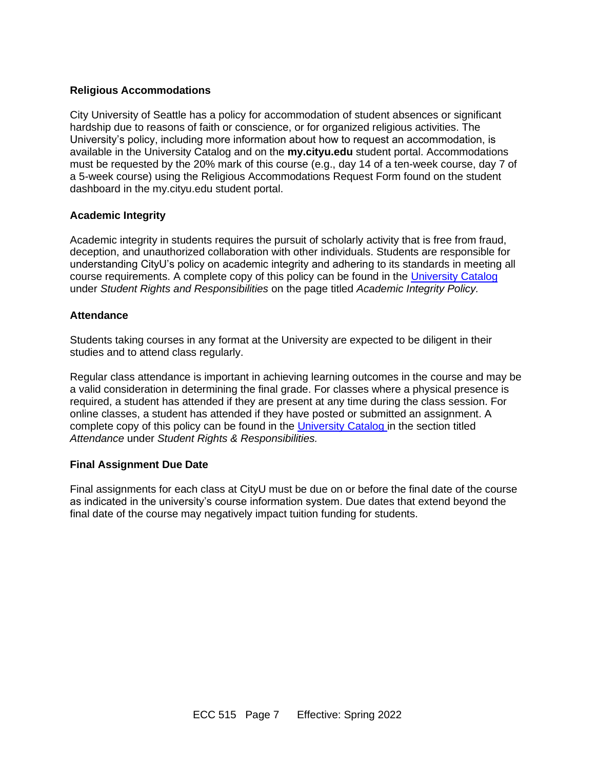## **Religious Accommodations**

City University of Seattle has a policy for accommodation of student absences or significant hardship due to reasons of faith or conscience, or for organized religious activities. The University's policy, including more information about how to request an accommodation, is available in the University Catalog and on the **my.cityu.edu** student portal. Accommodations must be requested by the 20% mark of this course (e.g., day 14 of a ten-week course, day 7 of a 5-week course) using the Religious Accommodations Request Form found on the student dashboard in the my.cityu.edu student portal.

## **Academic Integrity**

Academic integrity in students requires the pursuit of scholarly activity that is free from fraud, deception, and unauthorized collaboration with other individuals. Students are responsible for understanding CityU's policy on academic integrity and adhering to its standards in meeting all course requirements. A complete copy of this policy can be found in the [University Catalog](http://www.cityu.edu/catalog/) under *Student Rights and Responsibilities* on the page titled *Academic Integrity Policy.* 

## **Attendance**

Students taking courses in any format at the University are expected to be diligent in their studies and to attend class regularly.

Regular class attendance is important in achieving learning outcomes in the course and may be a valid consideration in determining the final grade. For classes where a physical presence is required, a student has attended if they are present at any time during the class session. For online classes, a student has attended if they have posted or submitted an assignment. A complete copy of this policy can be found in the [University Catalog](http://www.cityu.edu/catalog/) in the section titled *Attendance* under *Student Rights & Responsibilities.*

#### **Final Assignment Due Date**

Final assignments for each class at CityU must be due on or before the final date of the course as indicated in the university's course information system. Due dates that extend beyond the final date of the course may negatively impact tuition funding for students.